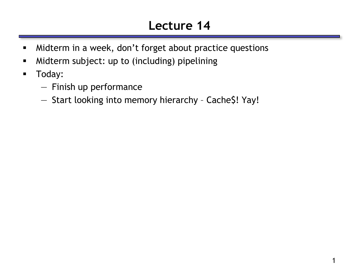# **Lecture 14**

- **Midterm in a week, don't forget about practice questions**
- **-** Midterm subject: up to (including) pipelining
- **-** Today:
	- Finish up performance
	- Start looking into memory hierarchy Cache\$! Yay!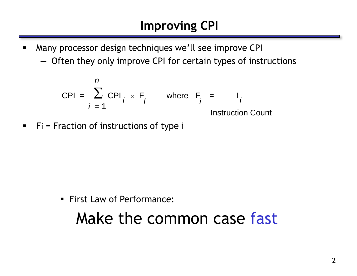- **Many processor design techniques we'll see improve CPI** 
	- Often they only improve CPI for certain types of instructions

$$
CPI = \sum_{i=1}^{n} CPI_i \times F_i \quad \text{where } F_i = \underbrace{I_i}_{\text{Instruction Count}}
$$

 $\blacksquare$  Fi = Fraction of instructions of type i

**First Law of Performance:** 

# Make the common case fast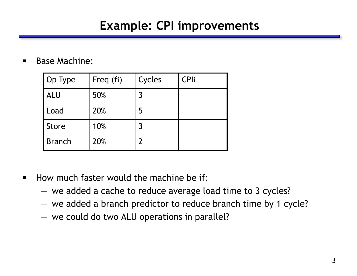#### **Example: CPI improvements**

**Base Machine:** 

| Op Type       | Freq (fi) | Cycles | <b>CPli</b> |
|---------------|-----------|--------|-------------|
| <b>ALU</b>    | 50%       | 3      |             |
| Load          | 20%       | 5      |             |
| Store         | 10%       | 3      |             |
| <b>Branch</b> | 20%       |        |             |

- **How much faster would the machine be if:** 
	- we added a cache to reduce average load time to 3 cycles?
	- we added a branch predictor to reduce branch time by 1 cycle?
	- we could do two ALU operations in parallel?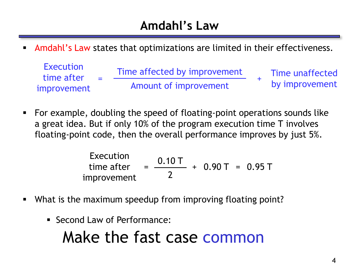#### **Amdahl's Law**

Amdahl's Law states that optimizations are limited in their effectiveness.

| Execution<br>time after | $\sim$ | Time affected by improvement | Time unaffected |
|-------------------------|--------|------------------------------|-----------------|
| improvement             |        | Amount of improvement        | by improvement  |

 For example, doubling the speed of floating-point operations sounds like a great idea. But if only 10% of the program execution time T involves floating-point code, then the overall performance improves by just 5%.

Execution  
\ntime after  
\n
$$
= \frac{0.10 \, \text{T}}{2} + 0.90 \, \text{T} = 0.95 \, \text{T}
$$

- What is the maximum speedup from improving floating point?
	- **Execond Law of Performance:**

# Make the fast case common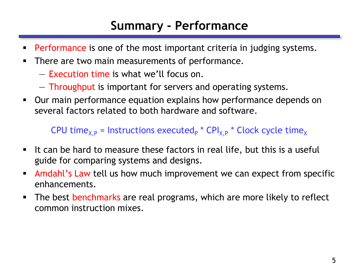#### **Summary - Performance**

- Performance is one of the most important criteria in judging systems.
- **There are two main measurements of performance.** 
	- Execution time is what we'll focus on.
	- Throughput is important for servers and operating systems.
- Our main performance equation explains how performance depends on several factors related to both hardware and software.

CPU time<sub>X,P</sub> = Instructions executed<sub>P</sub> \* CPI<sub>X,P</sub> \* Clock cycle time<sub>X</sub>

- If can be hard to measure these factors in real life, but this is a useful guide for comparing systems and designs.
- **Amdahl's Law tell us how much improvement we can expect from specific** enhancements.
- The best benchmarks are real programs, which are more likely to reflect common instruction mixes.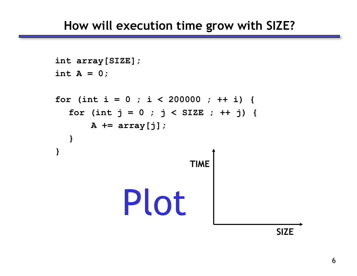```
int array[SIZE]; 
int A = 0; 
for (int i = 0 ; i < 200000 ; ++ i) { 
  for (int j = 0 ; j < SIZE ; ++ j) { 
      A += array[j]; 
  } 
}
                                          SIZE
                          TIME
            Plot
```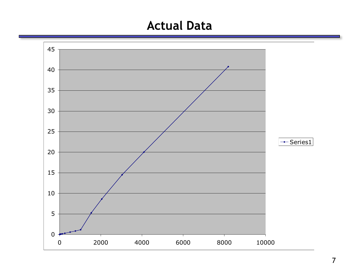#### **Actual Data**

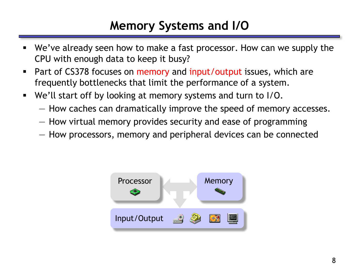#### **Memory Systems and I/O**

- We've already seen how to make a fast processor. How can we supply the CPU with enough data to keep it busy?
- **Part of CS378 focuses on memory and input/output issues, which are** frequently bottlenecks that limit the performance of a system.
- We'll start off by looking at memory systems and turn to I/O.
	- How caches can dramatically improve the speed of memory accesses.
	- How virtual memory provides security and ease of programming
	- How processors, memory and peripheral devices can be connected

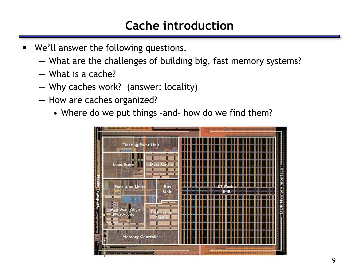#### **Cache introduction**

- We'll answer the following questions.
	- What are the challenges of building big, fast memory systems?
	- What is a cache?
	- Why caches work? (answer: locality)
	- How are caches organized?
		- Where do we put things -and- how do we find them?

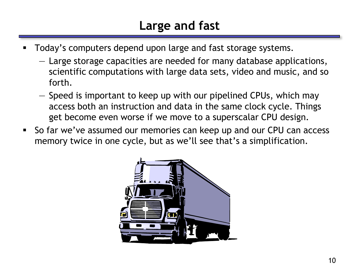# **Large and fast**

- Today's computers depend upon large and fast storage systems.
	- Large storage capacities are needed for many database applications, scientific computations with large data sets, video and music, and so forth.
	- Speed is important to keep up with our pipelined CPUs, which may access both an instruction and data in the same clock cycle. Things get become even worse if we move to a superscalar CPU design.
- So far we've assumed our memories can keep up and our CPU can access memory twice in one cycle, but as we'll see that's a simplification.

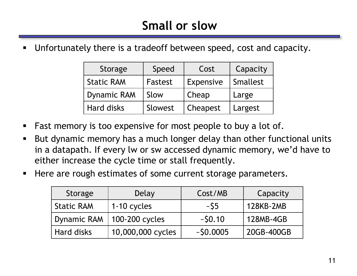Unfortunately there is a tradeoff between speed, cost and capacity.

| Storage            | Speed   | Cost      | Capacity |
|--------------------|---------|-----------|----------|
| <b>Static RAM</b>  | Fastest | Expensive | Smallest |
| <b>Dynamic RAM</b> | Slow    | Cheap     | Large    |
| Hard disks         | Slowest | Cheapest  | Largest  |

- **Fast memory is too expensive for most people to buy a lot of.**
- But dynamic memory has a much longer delay than other functional units in a datapath. If every lw or sw accessed dynamic memory, we'd have to either increase the cycle time or stall frequently.
- Here are rough estimates of some current storage parameters.

| Storage            | Delay             | Cost/MB    | Capacity   |
|--------------------|-------------------|------------|------------|
| <b>Static RAM</b>  | 1-10 cycles       | $\sim$ S5  | 128KB-2MB  |
| <b>Dynamic RAM</b> | 100-200 cycles    | ~50.10     | 128MB-4GB  |
| <b>Hard disks</b>  | 10,000,000 cycles | $-50.0005$ | 20GB-400GB |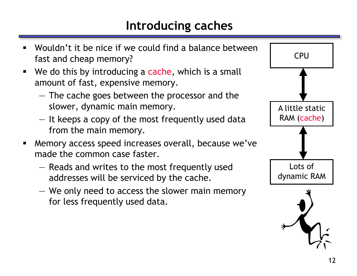# **Introducing caches**



- Wouldn't it be nice if we could find a balance between fast and cheap memory?
- We do this by introducing a cache, which is a small amount of fast, expensive memory.
	- The cache goes between the processor and the slower, dynamic main memory.
	- It keeps a copy of the most frequently used data from the main memory.
- Memory access speed increases overall, because we've made the common case faster.
	- Reads and writes to the most frequently used addresses will be serviced by the cache.
	- We only need to access the slower main memory for less frequently used data.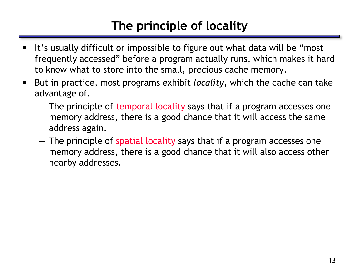# **The principle of locality**

- It's usually difficult or impossible to figure out what data will be "most" frequently accessed" before a program actually runs, which makes it hard to know what to store into the small, precious cache memory.
- But in practice, most programs exhibit *locality*, which the cache can take advantage of.
	- The principle of temporal locality says that if a program accesses one memory address, there is a good chance that it will access the same address again.
	- The principle of spatial locality says that if a program accesses one memory address, there is a good chance that it will also access other nearby addresses.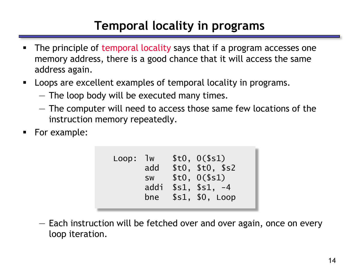# **Temporal locality in programs**

- The principle of temporal locality says that if a program accesses one memory address, there is a good chance that it will access the same address again.
- **-** Loops are excellent examples of temporal locality in programs.
	- The loop body will be executed many times.
	- The computer will need to access those same few locations of the instruction memory repeatedly.
- For example:

```
Loop: lw $t0, 0($s1)
     add $t0, $t0, $s2
      sw $t0, 0($s1)
     addi $s1, $s1, -4
     bne $s1, $0, Loop
```
— Each instruction will be fetched over and over again, once on every loop iteration.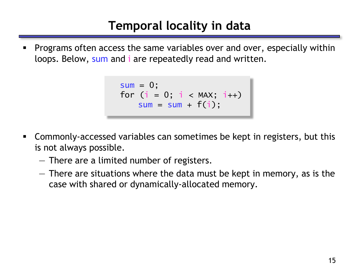# **Temporal locality in data**

 Programs often access the same variables over and over, especially within loops. Below, sum and i are repeatedly read and written.

```
sum = 0;
for (i = 0; i < MAX; i++)sum = sum + f(i);
```
- Commonly-accessed variables can sometimes be kept in registers, but this is not always possible.
	- There are a limited number of registers.
	- There are situations where the data must be kept in memory, as is the case with shared or dynamically-allocated memory.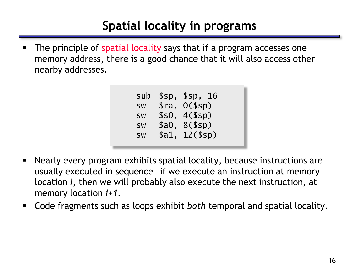# **Spatial locality in programs**

The principle of spatial locality says that if a program accesses one memory address, there is a good chance that it will also access other nearby addresses.

```
sub $sp, $sp, 16
sw $ra, 0($sp)
sw $s0, 4($sp)
sw $a0, 8($sp)
sw $a1, 12($sp)
```
- Nearly every program exhibits spatial locality, because instructions are usually executed in sequence—if we execute an instruction at memory location *i*, then we will probably also execute the next instruction, at memory location *i+1*.
- Code fragments such as loops exhibit *both* temporal and spatial locality.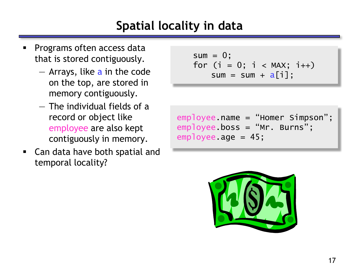# **Spatial locality in data**

- Programs often access data that is stored contiguously.
	- Arrays, like a in the code on the top, are stored in memory contiguously.
	- The individual fields of a record or object like employee are also kept contiguously in memory.
- Can data have both spatial and temporal locality?

```
sum = 0;for (i = 0; i < MAX; i++)sum = sum + a[i];
```

```
employee.name = "Homer Simpson";
employee.boss = "Mr. Burns";
employee.age = 45;
```
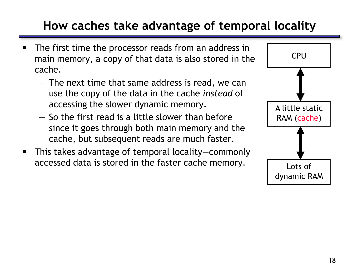# **How caches take advantage of temporal locality**

- The first time the processor reads from an address in main memory, a copy of that data is also stored in the cache.
	- The next time that same address is read, we can use the copy of the data in the cache *instead* of accessing the slower dynamic memory.
	- So the first read is a little slower than before since it goes through both main memory and the cache, but subsequent reads are much faster.
- This takes advantage of temporal locality—commonly accessed data is stored in the faster cache memory.  $\sqrt{\frac{2}{10}}$  Lots of

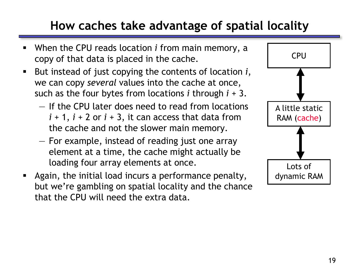# **How caches take advantage of spatial locality**

- When the CPU reads location *i* from main memory, a copy of that data is placed in the cache.
- But instead of just copying the contents of location *i*, we can copy *several* values into the cache at once, such as the four bytes from locations *i* through *i* + 3.
	- If the CPU later does need to read from locations  $i + 1$ ,  $i + 2$  or  $i + 3$ , it can access that data from the cache and not the slower main memory.
	- For example, instead of reading just one array element at a time, the cache might actually be loading four array elements at once.
- **Again, the initial load incurs a performance penalty,** but we're gambling on spatial locality and the chance that the CPU will need the extra data.

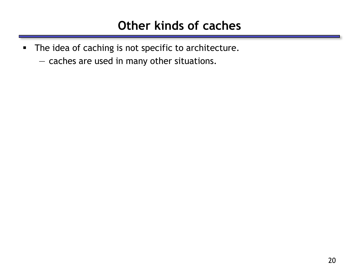- The idea of caching is not specific to architecture.
	- caches are used in many other situations.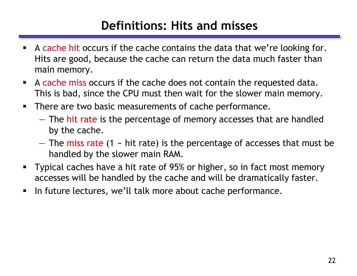#### **Definitions: Hits and misses**

- A cache hit occurs if the cache contains the data that we're looking for. Hits are good, because the cache can return the data much faster than main memory.
- A cache miss occurs if the cache does not contain the requested data. This is bad, since the CPU must then wait for the slower main memory.
- **There are two basic measurements of cache performance.** 
	- The hit rate is the percentage of memory accesses that are handled by the cache.
	- The miss rate  $(1 hit rate)$  is the percentage of accesses that must be handled by the slower main RAM.
- **Typical caches have a hit rate of 95% or higher, so in fact most memory** accesses will be handled by the cache and will be dramatically faster.
- In future lectures, we'll talk more about cache performance.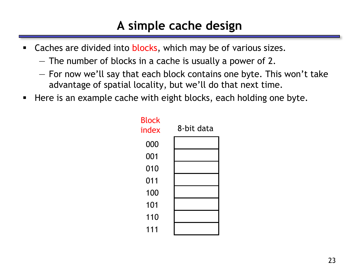### **A simple cache design**

- Caches are divided into blocks, which may be of various sizes.
	- The number of blocks in a cache is usually a power of 2.
	- For now we'll say that each block contains one byte. This won't take advantage of spatial locality, but we'll do that next time.
- Here is an example cache with eight blocks, each holding one byte.

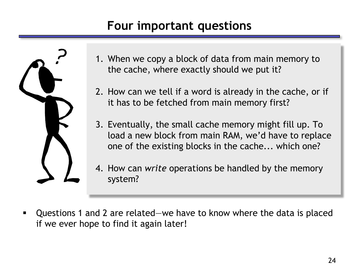#### **Four important questions**



- 1. When we copy a block of data from main memory to the cache, where exactly should we put it?
- 2. How can we tell if a word is already in the cache, or if it has to be fetched from main memory first?
- 3. Eventually, the small cache memory might fill up. To load a new block from main RAM, we'd have to replace one of the existing blocks in the cache... which one?
- 4. How can *write* operations be handled by the memory system?
- Questions 1 and 2 are related—we have to know where the data is placed if we ever hope to find it again later!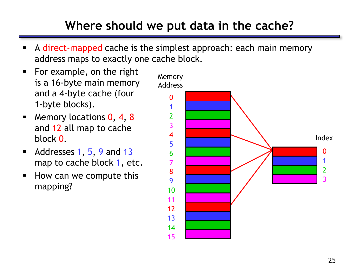# **Where should we put data in the cache?**

- A direct-mapped cache is the simplest approach: each main memory address maps to exactly one cache block.
- For example, on the right is a 16-byte main memory and a 4-byte cache (four 1-byte blocks).
- **Memory locations 0, 4, 8** and 12 all map to cache block 0.
- Addresses  $1, 5, 9$  and  $13$ map to cache block 1, etc.
- **How can we compute this** mapping?

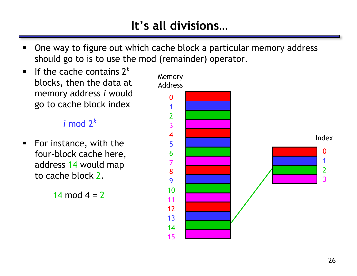# **It's all divisions…**

- One way to figure out which cache block a particular memory address should go to is to use the mod (remainder) operator.
- If the cache contains  $2^k$ blocks, then the data at memory address *i* would go to cache block index

#### $i$  mod  $2<sup>k</sup>$

 For instance, with the four-block cache here, address 14 would map to cache block 2.

14 mod  $4 = 2$ 

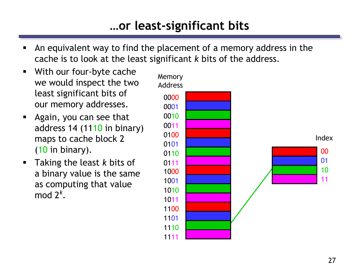#### **…or least-significant bits**

- An equivalent way to find the placement of a memory address in the cache is to look at the least significant *k* bits of the address.
- With our four-byte cache we would inspect the two least significant bits of our memory addresses.
- **Again, you can see that** address 14 (1110 in binary) maps to cache block 2 (10 in binary).
- Taking the least *k* bits of a binary value is the same as computing that value mod 2*<sup>k</sup>* .

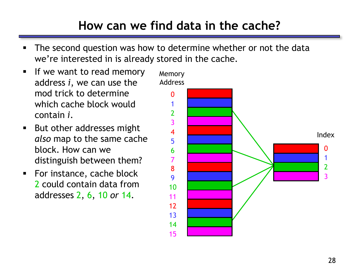# **How can we find data in the cache?**

- The second question was how to determine whether or not the data we're interested in is already stored in the cache.
- If we want to read memory address *i*, we can use the mod trick to determine which cache block would contain *i*.
- But other addresses might *also* map to the same cache block. How can we distinguish between them?
- **For instance, cache block** 2 could contain data from addresses 2, 6, 10 *or* 14.

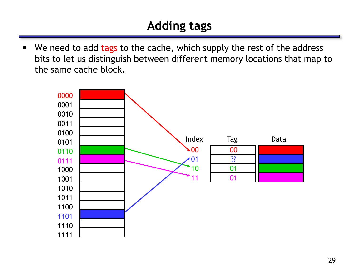# **Adding tags**

• We need to add tags to the cache, which supply the rest of the address bits to let us distinguish between different memory locations that map to the same cache block.

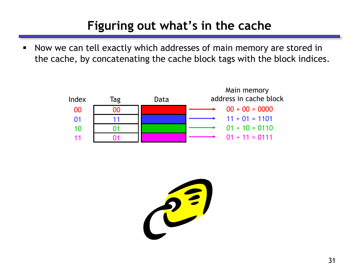# **Figuring out what's in the cache**

 Now we can tell exactly which addresses of main memory are stored in the cache, by concatenating the cache block tags with the block indices.

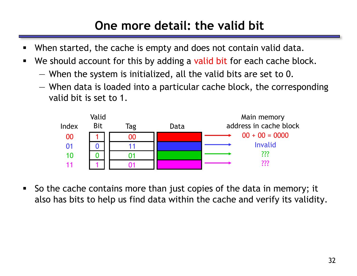# **One more detail: the valid bit**

- When started, the cache is empty and does not contain valid data.
- We should account for this by adding a valid bit for each cache block.
	- When the system is initialized, all the valid bits are set to 0.
	- When data is loaded into a particular cache block, the corresponding valid bit is set to 1.



 So the cache contains more than just copies of the data in memory; it also has bits to help us find data within the cache and verify its validity.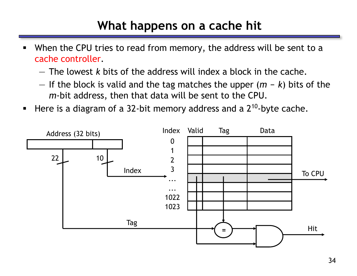# **What happens on a cache hit**

- When the CPU tries to read from memory, the address will be sent to a cache controller.
	- The lowest *k* bits of the address will index a block in the cache.
	- $-$  If the block is valid and the tag matches the upper  $(m k)$  bits of the *m*-bit address, then that data will be sent to the CPU.
- Here is a diagram of a 32-bit memory address and a  $2^{10}$ -byte cache.

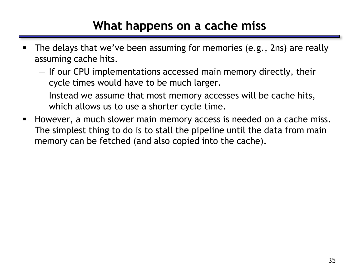#### **What happens on a cache miss**

- **The delays that we've been assuming for memories (e.g., 2ns) are really** assuming cache hits.
	- If our CPU implementations accessed main memory directly, their cycle times would have to be much larger.
	- Instead we assume that most memory accesses will be cache hits, which allows us to use a shorter cycle time.
- However, a much slower main memory access is needed on a cache miss. The simplest thing to do is to stall the pipeline until the data from main memory can be fetched (and also copied into the cache).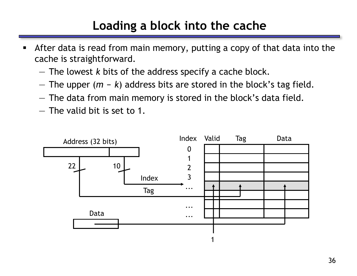### **Loading a block into the cache**

- After data is read from main memory, putting a copy of that data into the cache is straightforward.
	- The lowest *k* bits of the address specify a cache block.
	- The upper  $(m k)$  address bits are stored in the block's tag field.
	- The data from main memory is stored in the block's data field.
	- The valid bit is set to 1.

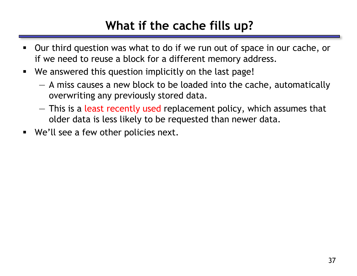# **What if the cache fills up?**

- Our third question was what to do if we run out of space in our cache, or if we need to reuse a block for a different memory address.
- We answered this question implicitly on the last page!
	- A miss causes a new block to be loaded into the cache, automatically overwriting any previously stored data.
	- This is a least recently used replacement policy, which assumes that older data is less likely to be requested than newer data.
- We'll see a few other policies next.